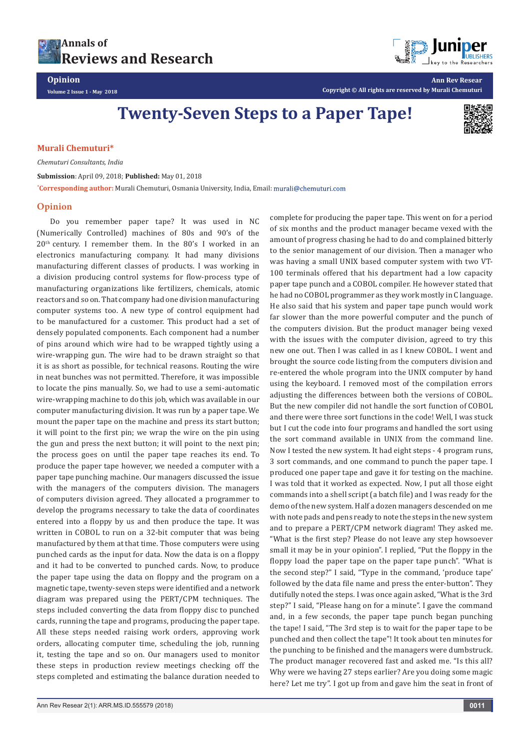

**Opinion Volume 2 Issue 1 - May 2018**



**Ann Rev Resear Copyright © All rights are reserved by Murali Chemuturi**

**Twenty-Seven Steps to a Paper Tape!**



## **Murali Chemuturi\***

*Chemuturi Consultants, India*

**Submission**: April 09, 2018; **Published:** May 01, 2018

**\* Corresponding author:** Murali Chemuturi, Osmania University, India, Email:

## **Opinion**

Do you remember paper tape? It was used in NC (Numerically Controlled) machines of 80s and 90's of the 20th century. I remember them. In the 80's I worked in an electronics manufacturing company. It had many divisions manufacturing different classes of products. I was working in a division producing control systems for flow-process type of manufacturing organizations like fertilizers, chemicals, atomic reactors and so on. That company had one division manufacturing computer systems too. A new type of control equipment had to be manufactured for a customer. This product had a set of densely populated components. Each component had a number of pins around which wire had to be wrapped tightly using a wire-wrapping gun. The wire had to be drawn straight so that it is as short as possible, for technical reasons. Routing the wire in neat bunches was not permitted. Therefore, it was impossible to locate the pins manually. So, we had to use a semi-automatic wire-wrapping machine to do this job, which was available in our computer manufacturing division. It was run by a paper tape. We mount the paper tape on the machine and press its start button; it will point to the first pin; we wrap the wire on the pin using the gun and press the next button; it will point to the next pin; the process goes on until the paper tape reaches its end. To produce the paper tape however, we needed a computer with a paper tape punching machine. Our managers discussed the issue with the managers of the computers division. The managers of computers division agreed. They allocated a programmer to develop the programs necessary to take the data of coordinates entered into a floppy by us and then produce the tape. It was written in COBOL to run on a 32-bit computer that was being manufactured by them at that time. Those computers were using punched cards as the input for data. Now the data is on a floppy and it had to be converted to punched cards. Now, to produce the paper tape using the data on floppy and the program on a magnetic tape, twenty-seven steps were identified and a network diagram was prepared using the PERT/CPM techniques. The steps included converting the data from floppy disc to punched cards, running the tape and programs, producing the paper tape. All these steps needed raising work orders, approving work orders, allocating computer time, scheduling the job, running it, testing the tape and so on. Our managers used to monitor these steps in production review meetings checking off the steps completed and estimating the balance duration needed to

complete for producing the paper tape. This went on for a period of six months and the product manager became vexed with the amount of progress chasing he had to do and complained bitterly to the senior management of our division. Then a manager who was having a small UNIX based computer system with two VT-100 terminals offered that his department had a low capacity paper tape punch and a COBOL compiler. He however stated that he had no COBOL programmer as they work mostly in C language. He also said that his system and paper tape punch would work far slower than the more powerful computer and the punch of the computers division. But the product manager being vexed with the issues with the computer division, agreed to try this new one out. Then I was called in as I knew COBOL. I went and brought the source code listing from the computers division and re-entered the whole program into the UNIX computer by hand using the keyboard. I removed most of the compilation errors adjusting the differences between both the versions of COBOL. But the new compiler did not handle the sort function of COBOL and there were three sort functions in the code! Well, I was stuck but I cut the code into four programs and handled the sort using the sort command available in UNIX from the command line. Now I tested the new system. It had eight steps - 4 program runs, 3 sort commands, and one command to punch the paper tape. I produced one paper tape and gave it for testing on the machine. I was told that it worked as expected. Now, I put all those eight commands into a shell script (a batch file) and I was ready for the demo of the new system. Half a dozen managers descended on me with note pads and pens ready to note the steps in the new system and to prepare a PERT/CPM network diagram! They asked me. "What is the first step? Please do not leave any step howsoever small it may be in your opinion". I replied, "Put the floppy in the floppy load the paper tape on the paper tape punch". "What is the second step?" I said, "Type in the command, 'produce tape' followed by the data file name and press the enter-button". They dutifully noted the steps. I was once again asked, "What is the 3rd step?" I said, "Please hang on for a minute". I gave the command and, in a few seconds, the paper tape punch began punching the tape! I said, "The 3rd step is to wait for the paper tape to be punched and then collect the tape"! It took about ten minutes for the punching to be finished and the managers were dumbstruck. The product manager recovered fast and asked me. "Is this all? Why were we having 27 steps earlier? Are you doing some magic here? Let me try". I got up from and gave him the seat in front of